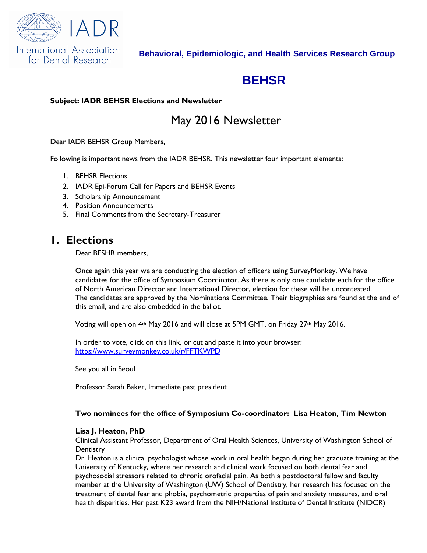

# **BEHSR**

#### **Subject: IADR BEHSR Elections and Newsletter**

# May 2016 Newsletter

Dear IADR BEHSR Group Members,

Following is important news from the IADR BEHSR. This newsletter four important elements:

- 1. BEHSR Elections
- 2. IADR Epi-Forum Call for Papers and BEHSR Events
- 3. Scholarship Announcement
- 4. Position Announcements
- 5. Final Comments from the Secretary-Treasurer

## **1. Elections**

Dear BESHR members,

Once again this year we are conducting the election of officers using SurveyMonkey. We have candidates for the office of Symposium Coordinator. As there is only one candidate each for the office of North American Director and International Director, election for these will be uncontested. The candidates are approved by the Nominations Committee. Their biographies are found at the end of this email, and are also embedded in the ballot.

Voting will open on  $4th$  May 2016 and will close at 5PM GMT, on Friday 27<sup>th</sup> May 2016.

In order to vote, click on this link, or cut and paste it into your browser: <https://www.surveymonkey.co.uk/r/FFTKWPD>

See you all in Seoul

Professor Sarah Baker, Immediate past president

#### **Two nominees for the office of Symposium Co-coordinator: Lisa Heaton, Tim Newton**

#### **Lisa J. Heaton, PhD**

Clinical Assistant Professor, Department of Oral Health Sciences, University of Washington School of **Dentistry** 

Dr. Heaton is a clinical psychologist whose work in oral health began during her graduate training at the University of Kentucky, where her research and clinical work focused on both dental fear and psychosocial stressors related to chronic orofacial pain. As both a postdoctoral fellow and faculty member at the University of Washington (UW) School of Dentistry, her research has focused on the treatment of dental fear and phobia, psychometric properties of pain and anxiety measures, and oral health disparities. Her past K23 award from the NIH/National Institute of Dental Institute (NIDCR)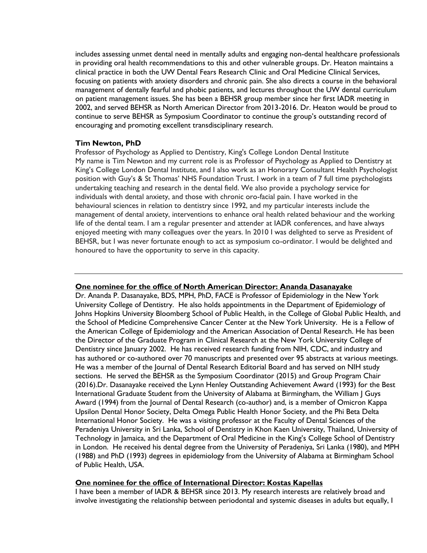includes assessing unmet dental need in mentally adults and engaging non-dental healthcare professionals in providing oral health recommendations to this and other vulnerable groups. Dr. Heaton maintains a clinical practice in both the UW Dental Fears Research Clinic and Oral Medicine Clinical Services, focusing on patients with anxiety disorders and chronic pain. She also directs a course in the behavioral management of dentally fearful and phobic patients, and lectures throughout the UW dental curriculum on patient management issues. She has been a BEHSR group member since her first IADR meeting in 2002, and served BEHSR as North American Director from 2013-2016. Dr. Heaton would be proud to continue to serve BEHSR as Symposium Coordinator to continue the group's outstanding record of encouraging and promoting excellent transdisciplinary research.

#### **Tim Newton, PhD**

Professor of Psychology as Applied to Dentistry, King's College London Dental Institute My name is Tim Newton and my current role is as Professor of Psychology as Applied to Dentistry at King's College London Dental Institute, and I also work as an Honorary Consultant Health Psychologist position with Guy's & St Thomas' NHS Foundation Trust. I work in a team of 7 full time psychologists undertaking teaching and research in the dental field. We also provide a psychology service for individuals with dental anxiety, and those with chronic oro-facial pain. I have worked in the behavioural sciences in relation to dentistry since 1992, and my particular interests include the management of dental anxiety, interventions to enhance oral health related behaviour and the working life of the dental team. I am a regular presenter and attender at IADR conferences, and have always enjoyed meeting with many colleagues over the years. In 2010 I was delighted to serve as President of BEHSR, but I was never fortunate enough to act as symposium co-ordinator. I would be delighted and honoured to have the opportunity to serve in this capacity.

#### **One nominee for the office of North American Director: Ananda Dasanayake**

Dr. Ananda P. Dasanayake, BDS, MPH, PhD, FACE is Professor of Epidemiology in the New York University College of Dentistry. He also holds appointments in the Department of Epidemiology of Johns Hopkins University Bloomberg School of Public Health, in the College of Global Public Health, and the School of Medicine Comprehensive Cancer Center at the New York University. He is a Fellow of the American College of Epidemiology and the American Association of Dental Research. He has been the Director of the Graduate Program in Clinical Research at the New York University College of Dentistry since January 2002. He has received research funding from NIH, CDC, and industry and has authored or co-authored over 70 manuscripts and presented over 95 abstracts at various meetings. He was a member of the Journal of Dental Research Editorial Board and has served on NIH study sections. He served the BEHSR as the Symposium Coordinator (2015) and Group Program Chair (2016).Dr. Dasanayake received the Lynn Henley Outstanding Achievement Award (1993) for the Best International Graduate Student from the University of Alabama at Birmingham, the William J Guys Award (1994) from the Journal of Dental Research (co-author) and, is a member of Omicron Kappa Upsilon Dental Honor Society, Delta Omega Public Health Honor Society, and the Phi Beta Delta International Honor Society. He was a visiting professor at the Faculty of Dental Sciences of the Peradeniya University in Sri Lanka, School of Dentistry in Khon Kaen University, Thailand, University of Technology in Jamaica, and the Department of Oral Medicine in the King's College School of Dentistry in London. He received his dental degree from the University of Peradeniya, Sri Lanka (1980), and MPH (1988) and PhD (1993) degrees in epidemiology from the University of Alabama at Birmingham School of Public Health, USA.

#### **One nominee for the office of International Director: Kostas Kapellas**

I have been a member of IADR & BEHSR since 2013. My research interests are relatively broad and involve investigating the relationship between periodontal and systemic diseases in adults but equally, I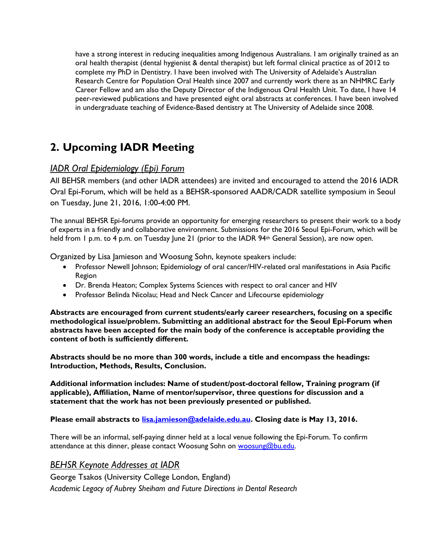have a strong interest in reducing inequalities among Indigenous Australians. I am originally trained as an oral health therapist (dental hygienist & dental therapist) but left formal clinical practice as of 2012 to complete my PhD in Dentistry. I have been involved with The University of Adelaide's Australian Research Centre for Population Oral Health since 2007 and currently work there as an NHMRC Early Career Fellow and am also the Deputy Director of the Indigenous Oral Health Unit. To date, I have 14 peer-reviewed publications and have presented eight oral abstracts at conferences. I have been involved in undergraduate teaching of Evidence-Based dentistry at The University of Adelaide since 2008.

# **2. Upcoming IADR Meeting**

## *IADR Oral Epidemiology (Epi) Forum*

All BEHSR members (and other IADR attendees) are invited and encouraged to attend the 2016 IADR Oral Epi-Forum, which will be held as a BEHSR-sponsored AADR/CADR satellite symposium in Seoul on Tuesday, June 21, 2016, 1:00-4:00 PM.

The annual BEHSR Epi-forums provide an opportunity for emerging researchers to present their work to a body of experts in a friendly and collaborative environment. Submissions for the 2016 Seoul Epi-Forum, which will be held from 1 p.m. to 4 p.m. on Tuesday June 21 (prior to the IADR 94<sup>th</sup> General Session), are now open.

Organized by Lisa Jamieson and Woosung Sohn, keynote speakers include:

- Professor Newell Johnson; Epidemiology of oral cancer/HIV-related oral manifestations in Asia Pacific Region
- Dr. Brenda Heaton; Complex Systems Sciences with respect to oral cancer and HIV
- Professor Belinda Nicolau; Head and Neck Cancer and Lifecourse epidemiology

**Abstracts are encouraged from current students/early career researchers, focusing on a specific methodological issue/problem. Submitting an additional abstract for the Seoul Epi-Forum when abstracts have been accepted for the main body of the conference is acceptable providing the content of both is sufficiently different.**

**Abstracts should be no more than 300 words, include a title and encompass the headings: Introduction, Methods, Results, Conclusion.**

**Additional information includes: Name of student/post-doctoral fellow, Training program (if applicable), Affiliation, Name of mentor/supervisor, three questions for discussion and a statement that the work has not been previously presented or published.**

#### **Please email abstracts to [lisa.jamieson@adelaide.edu.au.](mailto:lisa.jamieson@adelaide.edu.au) Closing date is May 13, 2016.**

There will be an informal, self-paying dinner held at a local venue following the Epi-Forum. To confirm attendance at this dinner, please contact Woosung Sohn on [woosung@bu.edu.](mailto:woosung@bu.edu)

#### *BEHSR Keynote Addresses at IADR*

George Tsakos (University College London, England)

*Academic Legacy of Aubrey Sheiham and Future Directions in Dental Research*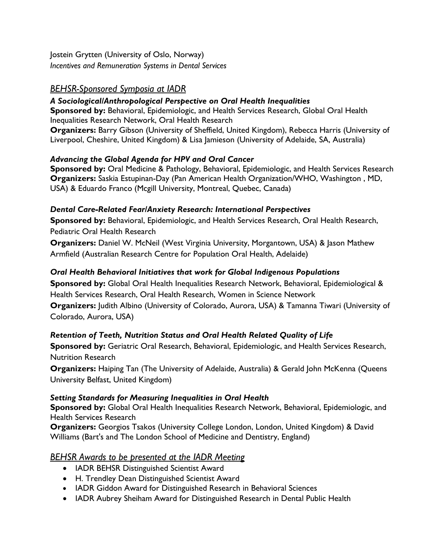Jostein Grytten (University of Oslo, Norway) *Incentives and Remuneration Systems in Dental Services*

## *BEHSR-Sponsored Symposia at IADR*

## *A Sociological/Anthropological Perspective on Oral Health Inequalities*

**Sponsored by:** Behavioral, Epidemiologic, and Health Services Research, Global Oral Health Inequalities Research Network, Oral Health Research

**Organizers:** Barry Gibson (University of Sheffield, United Kingdom), Rebecca Harris (University of Liverpool, Cheshire, United Kingdom) & Lisa Jamieson (University of Adelaide, SA, Australia)

## *Advancing the Global Agenda for HPV and Oral Cancer*

**Sponsored by:** Oral Medicine & Pathology, Behavioral, Epidemiologic, and Health Services Research **Organizers:** Saskia Estupinan-Day (Pan American Health Organization/WHO, Washington , MD, USA) & Eduardo Franco (Mcgill University, Montreal, Quebec, Canada)

## *Dental Care-Related Fear/Anxiety Research: International Perspectives*

**Sponsored by:** Behavioral, Epidemiologic, and Health Services Research, Oral Health Research, Pediatric Oral Health Research

**Organizers:** Daniel W. McNeil (West Virginia University, Morgantown, USA) & Jason Mathew Armfield (Australian Research Centre for Population Oral Health, Adelaide)

## *Oral Health Behavioral Initiatives that work for Global Indigenous Populations*

**Sponsored by:** Global Oral Health Inequalities Research Network, Behavioral, Epidemiological & Health Services Research, Oral Health Research, Women in Science Network **Organizers:** Judith Albino (University of Colorado, Aurora, USA) & Tamanna Tiwari (University of Colorado, Aurora, USA)

## *Retention of Teeth, Nutrition Status and Oral Health Related Quality of Life*

**Sponsored by:** Geriatric Oral Research, Behavioral, Epidemiologic, and Health Services Research, Nutrition Research

**Organizers:** Haiping Tan (The University of Adelaide, Australia) & Gerald John McKenna (Queens University Belfast, United Kingdom)

## *Setting Standards for Measuring Inequalities in Oral Health*

**Sponsored by:** Global Oral Health Inequalities Research Network, Behavioral, Epidemiologic, and Health Services Research

**Organizers:** Georgios Tsakos (University College London, London, United Kingdom) & David Williams (Bart's and The London School of Medicine and Dentistry, England)

## *BEHSR Awards to be presented at the IADR Meeting*

- IADR BEHSR Distinguished Scientist Award
- H. Trendley Dean Distinguished Scientist Award
- IADR Giddon Award for Distinguished Research in Behavioral Sciences
- IADR Aubrey Sheiham Award for Distinguished Research in Dental Public Health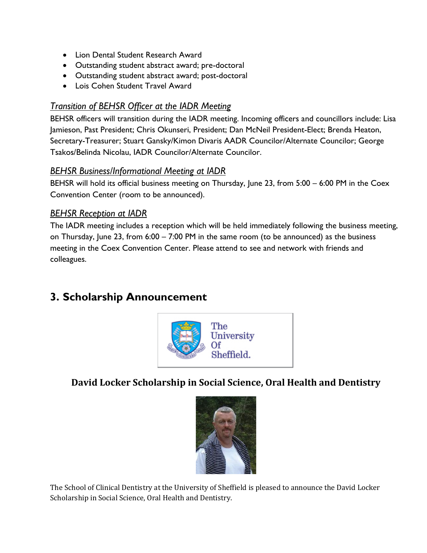- Lion Dental Student Research Award
- Outstanding student abstract award; pre-doctoral
- Outstanding student abstract award; post-doctoral
- Lois Cohen Student Travel Award

## *Transition of BEHSR Officer at the IADR Meeting*

BEHSR officers will transition during the IADR meeting. Incoming officers and councillors include: Lisa Jamieson, Past President; Chris Okunseri, President; Dan McNeil President-Elect; Brenda Heaton, Secretary-Treasurer; Stuart Gansky/Kimon Divaris AADR Councilor/Alternate Councilor; George Tsakos/Belinda Nicolau, IADR Councilor/Alternate Councilor.

## *BEHSR Business/Informational Meeting at IADR*

BEHSR will hold its official business meeting on Thursday, June 23, from 5:00 – 6:00 PM in the Coex Convention Center (room to be announced).

## *BEHSR Reception at IADR*

The IADR meeting includes a reception which will be held immediately following the business meeting, on Thursday, June 23, from 6:00 – 7:00 PM in the same room (to be announced) as the business meeting in the Coex Convention Center. Please attend to see and network with friends and colleagues.

## **3. Scholarship Announcement**



## **David Locker Scholarship in Social Science, Oral Health and Dentistry**



The School of Clinical Dentistry at the University of Sheffield is pleased to announce the David Locker Scholarship in Social Science, Oral Health and Dentistry.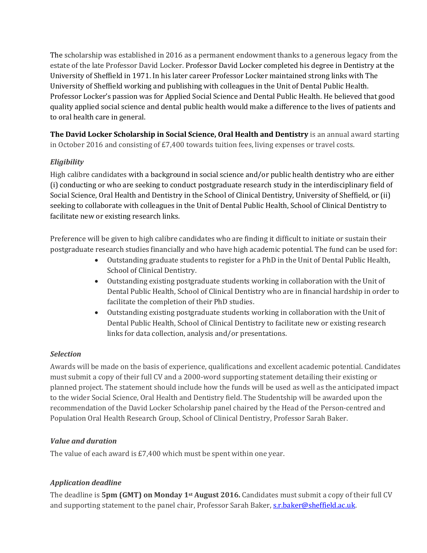The scholarship was established in 2016 as a permanent endowment thanks to a generous legacy from the estate of the late Professor David Locker. Professor David Locker completed his degree in Dentistry at the University of Sheffield in 1971. In his later career Professor Locker maintained strong links with The University of Sheffield working and publishing with colleagues in the Unit of Dental Public Health. Professor Locker's passion was for Applied Social Science and Dental Public Health. He believed that good quality applied social science and dental public health would make a difference to the lives of patients and to oral health care in general.

**The David Locker Scholarship in Social Science, Oral Health and Dentistry** is an annual award starting in October 2016 and consisting of £7,400 towards tuition fees, living expenses or travel costs.

## *Eligibility*

High calibre candidates with a background in social science and/or public health dentistry who are either (i) conducting or who are seeking to conduct postgraduate research study in the interdisciplinary field of Social Science, Oral Health and Dentistry in the School of Clinical Dentistry, University of Sheffield, or (ii) seeking to collaborate with colleagues in the Unit of Dental Public Health, School of Clinical Dentistry to facilitate new or existing research links.

Preference will be given to high calibre candidates who are finding it difficult to initiate or sustain their postgraduate research studies financially and who have high academic potential. The fund can be used for:

- Outstanding graduate students to register for a PhD in the Unit of Dental Public Health, School of Clinical Dentistry.
- Outstanding existing postgraduate students working in collaboration with the Unit of Dental Public Health, School of Clinical Dentistry who are in financial hardship in order to facilitate the completion of their PhD studies.
- Outstanding existing postgraduate students working in collaboration with the Unit of Dental Public Health, School of Clinical Dentistry to facilitate new or existing research links for data collection, analysis and/or presentations.

#### *Selection*

Awards will be made on the basis of experience, qualifications and excellent academic potential. Candidates must submit a copy of their full CV and a 2000-word supporting statement detailing their existing or planned project. The statement should include how the funds will be used as well as the anticipated impact to the wider Social Science, Oral Health and Dentistry field. The Studentship will be awarded upon the recommendation of the David Locker Scholarship panel chaired by the Head of the Person-centred and Population Oral Health Research Group, School of Clinical Dentistry, Professor Sarah Baker.

#### *Value and duration*

The value of each award is £7,400 which must be spent within one year.

#### *Application deadline*

The deadline is **5pm (GMT) on Monday 1st August 2016.** Candidates must submit a copy of their full CV and supporting statement to the panel chair, Professor Sarah Baker, s.r.baker@sheffield.ac.uk.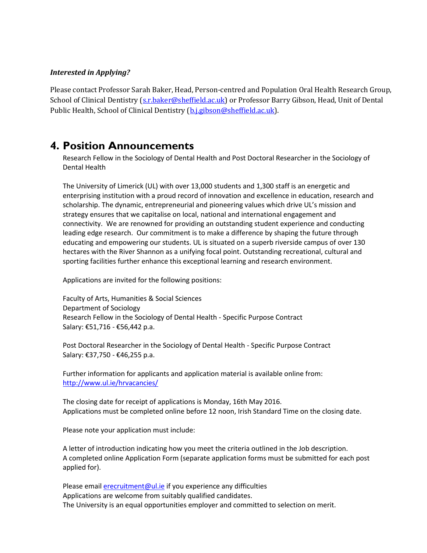#### *Interested in Applying?*

Please contact Professor Sarah Baker, Head, Person-centred and Population Oral Health Research Group, School of Clinical Dentistry [\(s.r.baker@sheffield.ac.uk\)](mailto:s.r.baker@sheffield.ac.uk) or Professor Barry Gibson, Head, Unit of Dental Public Health, School of Clinical Dentistry [\(b.j.gibson@sheffield.ac.uk\)](mailto:b.j.gibson@sheffield.ac.uk).

## **4. Position Announcements**

Research Fellow in the Sociology of Dental Health and Post Doctoral Researcher in the Sociology of Dental Health

The University of Limerick (UL) with over 13,000 students and 1,300 staff is an energetic and enterprising institution with a proud record of innovation and excellence in education, research and scholarship. The dynamic, entrepreneurial and pioneering values which drive UL's mission and strategy ensures that we capitalise on local, national and international engagement and connectivity. We are renowned for providing an outstanding student experience and conducting leading edge research. Our commitment is to make a difference by shaping the future through educating and empowering our students. UL is situated on a superb riverside campus of over 130 hectares with the River Shannon as a unifying focal point. Outstanding recreational, cultural and sporting facilities further enhance this exceptional learning and research environment.

Applications are invited for the following positions:

Faculty of Arts, Humanities & Social Sciences Department of Sociology Research Fellow in the Sociology of Dental Health - Specific Purpose Contract Salary: €51,716 - €56,442 p.a.

Post Doctoral Researcher in the Sociology of Dental Health - Specific Purpose Contract Salary: €37,750 - €46,255 p.a.

Further information for applicants and application material is available online from: <http://www.ul.ie/hrvacancies/>

The closing date for receipt of applications is Monday, 16th May 2016. Applications must be completed online before 12 noon, Irish Standard Time on the closing date.

Please note your application must include:

A letter of introduction indicating how you meet the criteria outlined in the Job description. A completed online Application Form (separate application forms must be submitted for each post applied for).

Please email [erecruitment@ul.ie](mailto:erecruitment@ul.ie) if you experience any difficulties Applications are welcome from suitably qualified candidates. The University is an equal opportunities employer and committed to selection on merit.